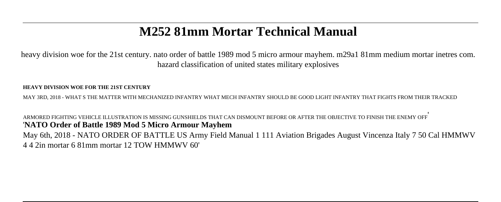## **M252 81mm Mortar Technical Manual**

heavy division woe for the 21st century, nato order of battle 1989 mod 5 micro armour mayhem. m29a1 81mm medium mortar inetres com. hazard classification of united states military explosives

## **HEAVY DIVISION WOE FOR THE 21ST CENTURY**

MAY 3RD, 2018 - WHAT S THE MATTER WITH MECHANIZED INFANTRY WHAT MECH INFANTRY SHOULD BE GOOD LIGHT INFANTRY THAT FIGHTS FROM THEIR TRACKED

ARMORED FIGHTING VEHICLE ILLUSTRATION IS MISSING GUNSHIELDS THAT CAN DISMOUNT BEFORE OR AFTER THE OBJECTIVE TO FINISH THE ENEMY OFF' '**NATO Order of Battle 1989 Mod 5 Micro Armour Mayhem** May 6th, 2018 - NATO ORDER OF BATTLE US Army Field Manual 1 111 Aviation Brigades August Vincenza Italy 7 50 Cal HMMWV 4 4 2in mortar 6 81mm mortar 12 TOW HMMWV 60'